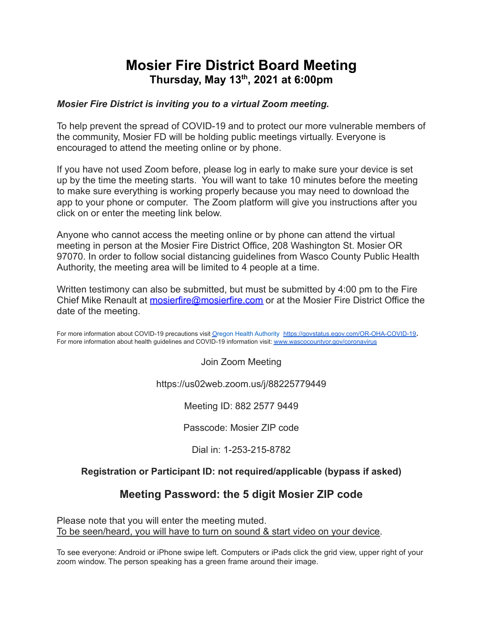# **Mosier Fire District Board Meeting Thursday, May 13 th , 2021 at 6:00pm**

### *Mosier Fire District is inviting you to a virtual Zoom meeting.*

To help prevent the spread of COVID-19 and to protect our more vulnerable members of the community, Mosier FD will be holding public meetings virtually. Everyone is encouraged to attend the meeting online or by phone.

If you have not used Zoom before, please log in early to make sure your device is set up by the time the meeting starts. You will want to take 10 minutes before the meeting to make sure everything is working properly because you may need to download the app to your phone or computer. The Zoom platform will give you instructions after you click on or enter the meeting link below.

Anyone who cannot access the meeting online or by phone can attend the virtual meeting in person at the Mosier Fire District Office, 208 Washington St. Mosier OR 97070. In order to follow social distancing guidelines from Wasco County Public Health Authority, the meeting area will be limited to 4 people at a time.

Written testimony can also be submitted, but must be submitted by 4:00 pm to the Fire Chief Mike Renault at **[mosierfire@mosierfire.com](mailto:mosierfire@mosierfire.com)** or at the Mosier Fire District Office the date of the meeting.

For more information about C[O](http://www.xxx.org/coronavirus)VID-19 precautions visit Oregon Health Authority <https://govstatus.egov.com/OR-OHA-COVID-19>. For more information about health guidelines and COVID-19 information visit: [www.wascocountyor.gov/coronavirus](http://www.wascocountyor.gov/coronavirus)

Join Zoom Meeting

https://us02web.zoom.us/j/88225779449

Meeting ID: 882 2577 9449

Passcode: Mosier ZIP code

Dial in: 1-253-215-8782

### **Registration or Participant ID: not required/applicable (bypass if asked)**

## **Meeting Password: the 5 digit Mosier ZIP code**

Please note that you will enter the meeting muted. To be seen/heard, you will have to turn on sound & start video on your device.

To see everyone: Android or iPhone swipe left. Computers or iPads click the grid view, upper right of your zoom window. The person speaking has a green frame around their image.